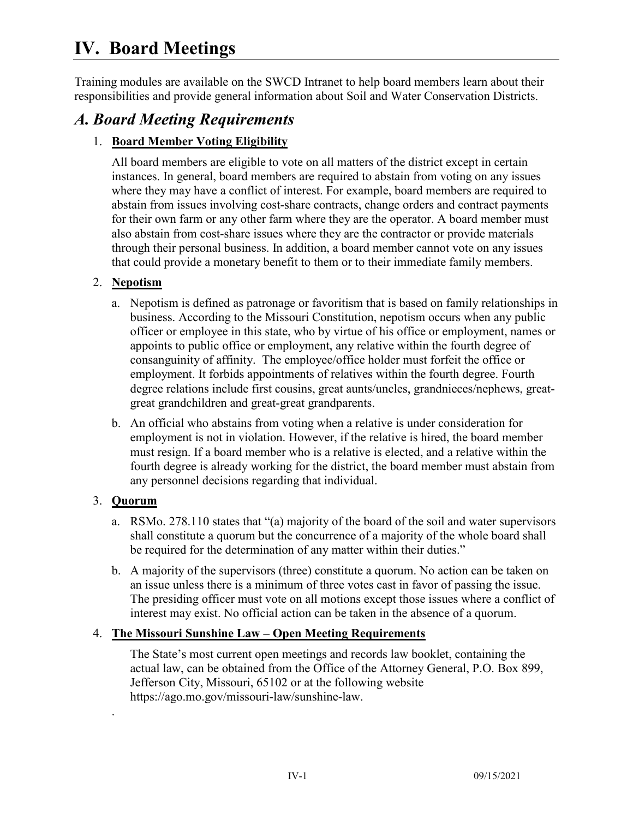# **IV. Board Meetings**

Training modules are available on the SWCD Intranet to help board members learn about their responsibilities and provide general information about Soil and Water Conservation Districts.

# *A. Board Meeting Requirements*

### 1. **Board Member Voting Eligibility**

All board members are eligible to vote on all matters of the district except in certain instances. In general, board members are required to abstain from voting on any issues where they may have a conflict of interest. For example, board members are required to abstain from issues involving cost-share contracts, change orders and contract payments for their own farm or any other farm where they are the operator. A board member must also abstain from cost-share issues where they are the contractor or provide materials through their personal business. In addition, a board member cannot vote on any issues that could provide a monetary benefit to them or to their immediate family members.

### 2. **Nepotism**

- a. Nepotism is defined as patronage or favoritism that is based on family relationships in business. According to the Missouri Constitution, nepotism occurs when any public officer or employee in this state, who by virtue of his office or employment, names or appoints to public office or employment, any relative within the fourth degree of consanguinity of affinity. The employee/office holder must forfeit the office or employment. It forbids appointments of relatives within the fourth degree. Fourth degree relations include first cousins, great aunts/uncles, grandnieces/nephews, greatgreat grandchildren and great-great grandparents.
- b. An official who abstains from voting when a relative is under consideration for employment is not in violation. However, if the relative is hired, the board member must resign. If a board member who is a relative is elected, and a relative within the fourth degree is already working for the district, the board member must abstain from any personnel decisions regarding that individual.

### 3. **Quorum**

.

- a. RSMo. 278.110 states that "(a) majority of the board of the soil and water supervisors shall constitute a quorum but the concurrence of a majority of the whole board shall be required for the determination of any matter within their duties."
- b. A majority of the supervisors (three) constitute a quorum. No action can be taken on an issue unless there is a minimum of three votes cast in favor of passing the issue. The presiding officer must vote on all motions except those issues where a conflict of interest may exist. No official action can be taken in the absence of a quorum.

### 4. **The Missouri Sunshine Law – Open Meeting Requirements**

The State's most current open meetings and records law booklet, containing the actual law, can be obtained from the Office of the Attorney General, P.O. Box 899, Jefferson City, Missouri, 65102 or at the following website https://ago.mo.gov/missouri-law/sunshine-law.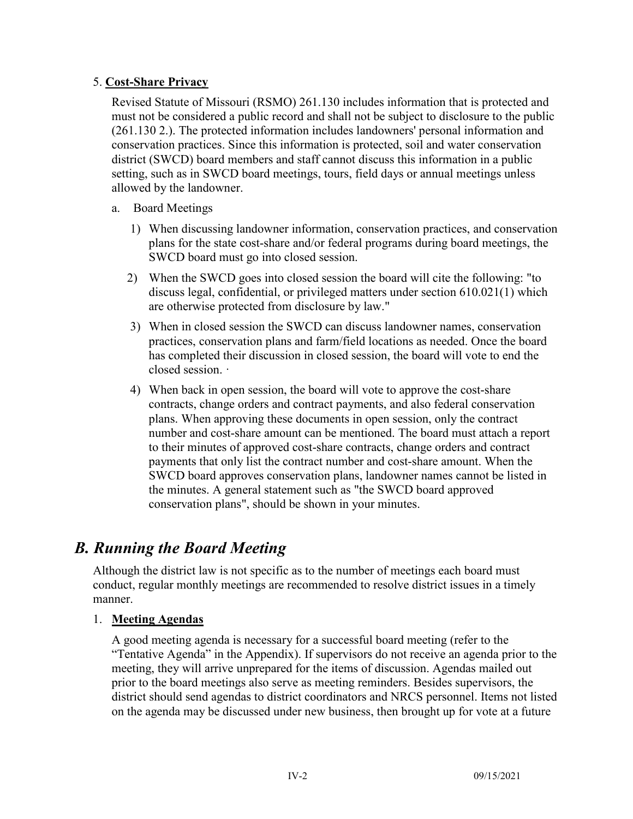#### 5. **Cost-Share Privacy**

Revised Statute of Missouri (RSMO) 261.130 includes information that is protected and must not be considered a public record and shall not be subject to disclosure to the public (261.130 2.). The protected information includes landowners' personal information and conservation practices. Since this information is protected, soil and water conservation district (SWCD) board members and staff cannot discuss this information in a public setting, such as in SWCD board meetings, tours, field days or annual meetings unless allowed by the landowner.

- a. Board Meetings
	- 1) When discussing landowner information, conservation practices, and conservation plans for the state cost-share and/or federal programs during board meetings, the SWCD board must go into closed session.
	- 2) When the SWCD goes into closed session the board will cite the following: "to discuss legal, confidential, or privileged matters under section 610.021(1) which are otherwise protected from disclosure by law."
	- 3) When in closed session the SWCD can discuss landowner names, conservation practices, conservation plans and farm/field locations as needed. Once the board has completed their discussion in closed session, the board will vote to end the closed session. ·
	- 4) When back in open session, the board will vote to approve the cost-share contracts, change orders and contract payments, and also federal conservation plans. When approving these documents in open session, only the contract number and cost-share amount can be mentioned. The board must attach a report to their minutes of approved cost-share contracts, change orders and contract payments that only list the contract number and cost-share amount. When the SWCD board approves conservation plans, landowner names cannot be listed in the minutes. A general statement such as "the SWCD board approved conservation plans", should be shown in your minutes.

# *B. Running the Board Meeting*

Although the district law is not specific as to the number of meetings each board must conduct, regular monthly meetings are recommended to resolve district issues in a timely manner.

#### 1. **Meeting Agendas**

A good meeting agenda is necessary for a successful board meeting (refer to the "Tentative Agenda" in the Appendix). If supervisors do not receive an agenda prior to the meeting, they will arrive unprepared for the items of discussion. Agendas mailed out prior to the board meetings also serve as meeting reminders. Besides supervisors, the district should send agendas to district coordinators and NRCS personnel. Items not listed on the agenda may be discussed under new business, then brought up for vote at a future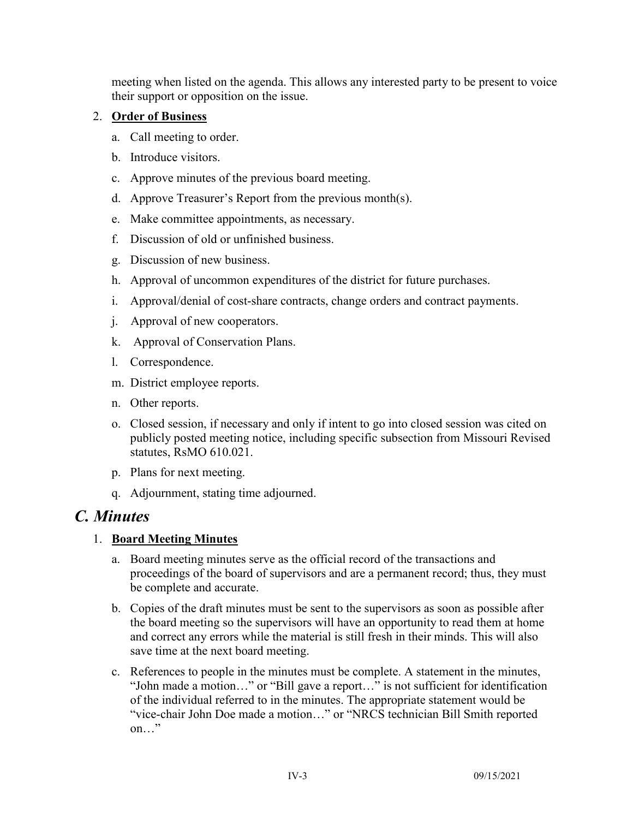meeting when listed on the agenda. This allows any interested party to be present to voice their support or opposition on the issue.

#### 2. **Order of Business**

- a. Call meeting to order.
- b. Introduce visitors.
- c. Approve minutes of the previous board meeting.
- d. Approve Treasurer's Report from the previous month(s).
- e. Make committee appointments, as necessary.
- f. Discussion of old or unfinished business.
- g. Discussion of new business.
- h. Approval of uncommon expenditures of the district for future purchases.
- i. Approval/denial of cost-share contracts, change orders and contract payments.
- j. Approval of new cooperators.
- k. Approval of Conservation Plans.
- l. Correspondence.
- m. District employee reports.
- n. Other reports.
- o. Closed session, if necessary and only if intent to go into closed session was cited on publicly posted meeting notice, including specific subsection from Missouri Revised statutes, RsMO 610.021.
- p. Plans for next meeting.
- q. Adjournment, stating time adjourned.

## *C. Minutes*

#### 1. **Board Meeting Minutes**

- a. Board meeting minutes serve as the official record of the transactions and proceedings of the board of supervisors and are a permanent record; thus, they must be complete and accurate.
- b. Copies of the draft minutes must be sent to the supervisors as soon as possible after the board meeting so the supervisors will have an opportunity to read them at home and correct any errors while the material is still fresh in their minds. This will also save time at the next board meeting.
- c. References to people in the minutes must be complete. A statement in the minutes, "John made a motion…" or "Bill gave a report…" is not sufficient for identification of the individual referred to in the minutes. The appropriate statement would be "vice-chair John Doe made a motion…" or "NRCS technician Bill Smith reported on…"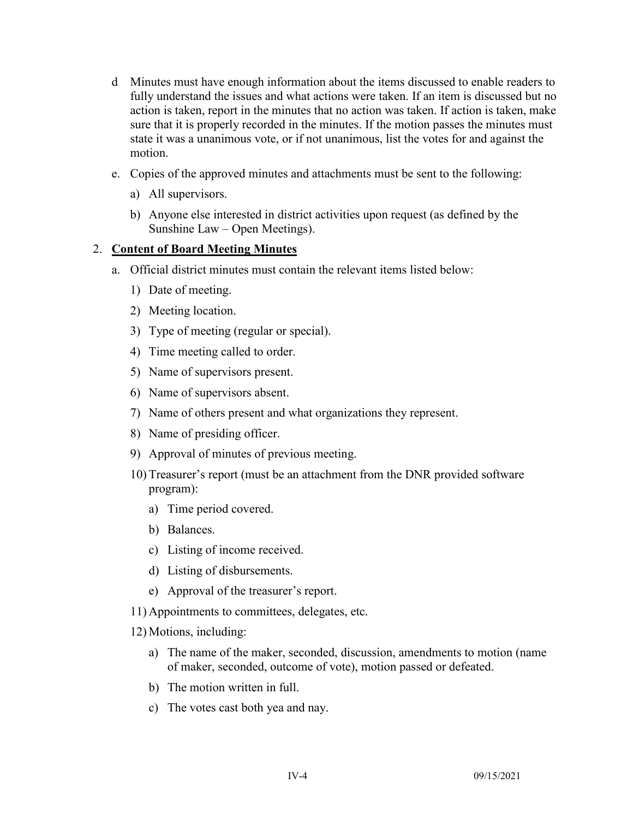- d Minutes must have enough information about the items discussed to enable readers to fully understand the issues and what actions were taken. If an item is discussed but no action is taken, report in the minutes that no action was taken. If action is taken, make sure that it is properly recorded in the minutes. If the motion passes the minutes must state it was a unanimous vote, or if not unanimous, list the votes for and against the motion.
- e. Copies of the approved minutes and attachments must be sent to the following:
	- a) All supervisors.
	- b) Anyone else interested in district activities upon request (as defined by the Sunshine Law – Open Meetings).

#### 2. **Content of Board Meeting Minutes**

- a. Official district minutes must contain the relevant items listed below:
	- 1) Date of meeting.
	- 2) Meeting location.
	- 3) Type of meeting (regular or special).
	- 4) Time meeting called to order.
	- 5) Name of supervisors present.
	- 6) Name of supervisors absent.
	- 7) Name of others present and what organizations they represent.
	- 8) Name of presiding officer.
	- 9) Approval of minutes of previous meeting.
	- 10) Treasurer's report (must be an attachment from the DNR provided software program):
		- a) Time period covered.
		- b) Balances.
		- c) Listing of income received.
		- d) Listing of disbursements.
		- e) Approval of the treasurer's report.
	- 11) Appointments to committees, delegates, etc.
	- 12) Motions, including:
		- a) The name of the maker, seconded, discussion, amendments to motion (name of maker, seconded, outcome of vote), motion passed or defeated.
		- b) The motion written in full.
		- c) The votes cast both yea and nay.